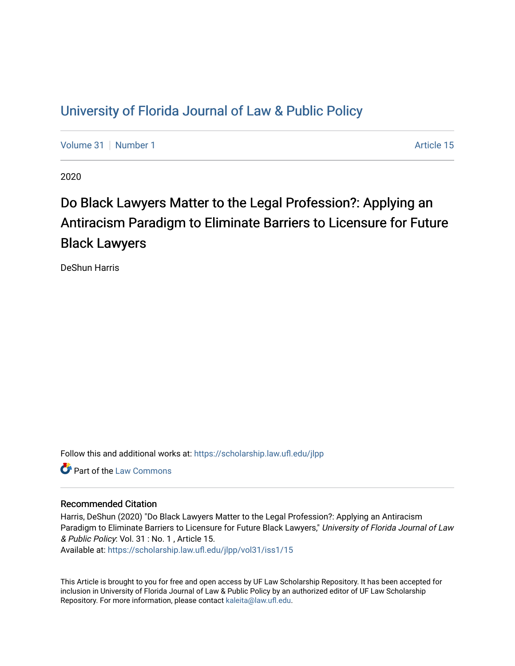# [University of Florida Journal of Law & Public Policy](https://scholarship.law.ufl.edu/jlpp)

[Volume 31](https://scholarship.law.ufl.edu/jlpp/vol31) | [Number 1](https://scholarship.law.ufl.edu/jlpp/vol31/iss1) Article 15

2020

# Do Black Lawyers Matter to the Legal Profession?: Applying an Antiracism Paradigm to Eliminate Barriers to Licensure for Future Black Lawyers

DeShun Harris

Follow this and additional works at: [https://scholarship.law.ufl.edu/jlpp](https://scholarship.law.ufl.edu/jlpp?utm_source=scholarship.law.ufl.edu%2Fjlpp%2Fvol31%2Fiss1%2F15&utm_medium=PDF&utm_campaign=PDFCoverPages)

**C** Part of the [Law Commons](http://network.bepress.com/hgg/discipline/578?utm_source=scholarship.law.ufl.edu%2Fjlpp%2Fvol31%2Fiss1%2F15&utm_medium=PDF&utm_campaign=PDFCoverPages)

# Recommended Citation

Harris, DeShun (2020) "Do Black Lawyers Matter to the Legal Profession?: Applying an Antiracism Paradigm to Eliminate Barriers to Licensure for Future Black Lawyers," University of Florida Journal of Law & Public Policy: Vol. 31 : No. 1 , Article 15.

Available at: [https://scholarship.law.ufl.edu/jlpp/vol31/iss1/15](https://scholarship.law.ufl.edu/jlpp/vol31/iss1/15?utm_source=scholarship.law.ufl.edu%2Fjlpp%2Fvol31%2Fiss1%2F15&utm_medium=PDF&utm_campaign=PDFCoverPages) 

This Article is brought to you for free and open access by UF Law Scholarship Repository. It has been accepted for inclusion in University of Florida Journal of Law & Public Policy by an authorized editor of UF Law Scholarship Repository. For more information, please contact [kaleita@law.ufl.edu](mailto:kaleita@law.ufl.edu).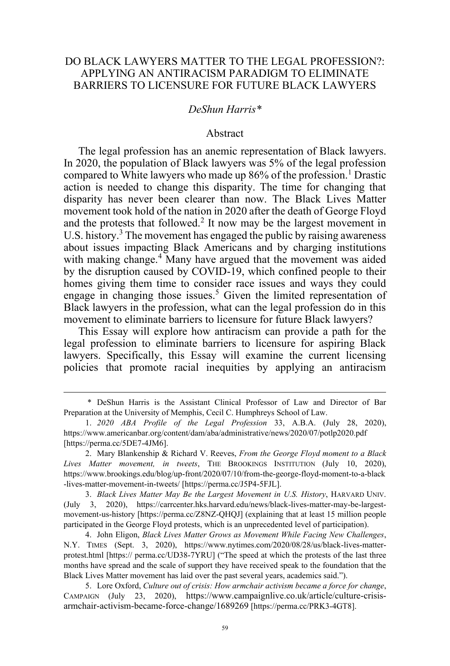# DO BLACK LAWYERS MATTER TO THE LEGAL PROFESSION?: APPLYING AN ANTIRACISM PARADIGM TO ELIMINATE BARRIERS TO LICENSURE FOR FUTURE BLACK LAWYERS

#### *DeShun Harris\**

#### Abstract

The legal profession has an anemic representation of Black lawyers. In 2020, the population of Black lawyers was 5% of the legal profession compared to White lawyers who made up  $86\%$  of the profession.<sup>1</sup> Drastic action is needed to change this disparity. The time for changing that disparity has never been clearer than now. The Black Lives Matter movement took hold of the nation in 2020 after the death of George Floyd and the protests that followed.<sup>2</sup> It now may be the largest movement in U.S. history.<sup>3</sup> The movement has engaged the public by raising awareness about issues impacting Black Americans and by charging institutions with making change.<sup>4</sup> Many have argued that the movement was aided by the disruption caused by COVID-19, which confined people to their homes giving them time to consider race issues and ways they could engage in changing those issues.<sup>5</sup> Given the limited representation of Black lawyers in the profession, what can the legal profession do in this movement to eliminate barriers to licensure for future Black lawyers?

This Essay will explore how antiracism can provide a path for the legal profession to eliminate barriers to licensure for aspiring Black lawyers. Specifically, this Essay will examine the current licensing policies that promote racial inequities by applying an antiracism

3. *Black Lives Matter May Be the Largest Movement in U.S. History*, HARVARD UNIV. (July 3, 2020), https://carrcenter.hks.harvard.edu/news/black-lives-matter-may-be-largestmovement-us-history [https://perma.cc/Z8NZ-QHQJ] (explaining that at least 15 million people participated in the George Floyd protests, which is an unprecedented level of participation).

4. John Eligon, *Black Lives Matter Grows as Movement While Facing New Challenges*, N.Y. TIMES (Sept. 3, 2020), https://www.nytimes.com/2020/08/28/us/black-lives-matterprotest.html [https:// perma.cc/UD38-7YRU] ("The speed at which the protests of the last three months have spread and the scale of support they have received speak to the foundation that the Black Lives Matter movement has laid over the past several years, academics said.").

5. Lore Oxford, *Culture out of crisis: How armchair activism became a force for change*, CAMPAIGN (July 23, 2020), https://www.campaignlive.co.uk/article/culture-crisisarmchair-activism-became-force-change/1689269 [https://perma.cc/PRK3-4GT8].

<sup>\*</sup> DeShun Harris is the Assistant Clinical Professor of Law and Director of Bar Preparation at the University of Memphis, Cecil C. Humphreys School of Law.

<sup>1.</sup> *2020 ABA Profile of the Legal Profession* 33, A.B.A. (July 28, 2020), https://www.americanbar.org/content/dam/aba/administrative/news/2020/07/potlp2020.pdf [https://perma.cc/5DE7-4JM6].

<sup>2.</sup> Mary Blankenship & Richard V. Reeves, *From the George Floyd moment to a Black Lives Matter movement, in tweets*, THE BROOKINGS INSTITUTION (July 10, 2020), https://www.brookings.edu/blog/up-front/2020/07/10/from-the-george-floyd-moment-to-a-black -lives-matter-movement-in-tweets/ [https://perma.cc/J5P4-5FJL].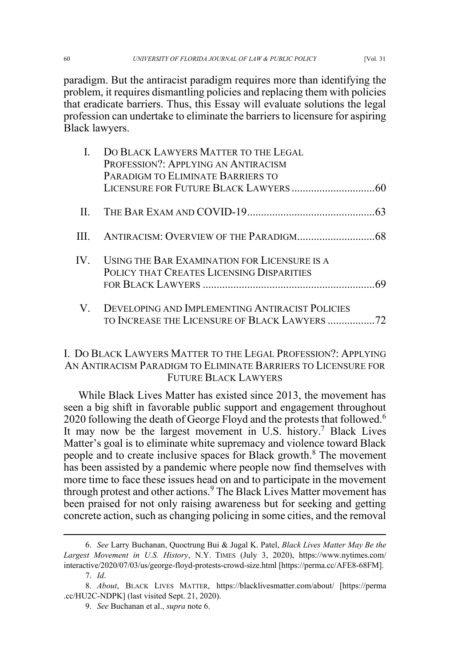paradigm. But the antiracist paradigm requires more than identifying the problem, it requires dismantling policies and replacing them with policies that eradicate barriers. Thus, this Essay will evaluate solutions the legal profession can undertake to eliminate the barriers to licensure for aspiring Black lawyers.

| DO BLACK LAWYERS MATTER TO THE LEGAL<br>PROFESSION?: APPLYING AN ANTIRACISM<br>PARADIGM TO ELIMINATE BARRIERS TO |  |
|------------------------------------------------------------------------------------------------------------------|--|
|                                                                                                                  |  |
|                                                                                                                  |  |
| IV. USING THE BAR EXAMINATION FOR LICENSURE IS A<br>POLICY THAT CREATES LICENSING DISPARITIES                    |  |
| V. DEVELOPING AND IMPLEMENTING ANTIRACIST POLICIES                                                               |  |

# I. DO BLACK LAWYERS MATTER TO THE LEGAL PROFESSION?: APPLYING AN ANTIRACISM PARADIGM TO ELIMINATE BARRIERS TO LICENSURE FOR FUTURE BLACK LAWYERS

While Black Lives Matter has existed since 2013, the movement has seen a big shift in favorable public support and engagement throughout 2020 following the death of George Floyd and the protests that followed.<sup>6</sup> It may now be the largest movement in U.S. history.<sup>7</sup> Black Lives Matter's goal is to eliminate white supremacy and violence toward Black people and to create inclusive spaces for Black growth.<sup>8</sup> The movement has been assisted by a pandemic where people now find themselves with more time to face these issues head on and to participate in the movement through protest and other actions.<sup>9</sup> The Black Lives Matter movement has been praised for not only raising awareness but for seeking and getting concrete action, such as changing policing in some cities, and the removal

<sup>6.</sup> *See* Larry Buchanan, Quoctrung Bui & Jugal K. Patel, *Black Lives Matter May Be the Largest Movement in U.S. History*, N.Y. TIMES (July 3, 2020), https://www.nytimes.com/ interactive/2020/07/03/us/george-floyd-protests-crowd-size.html [https://perma.cc/AFE8-68FM].

<sup>7.</sup> *Id*.

<sup>8.</sup> *About*, BLACK LIVES MATTER, https://blacklivesmatter.com/about/ [https://perma .cc/HU2C-NDPK] (last visited Sept. 21, 2020).

<sup>9.</sup> *See* Buchanan et al., *supra* note 6.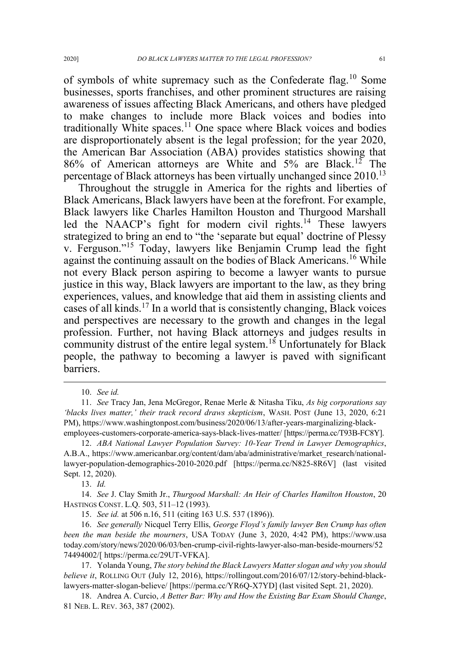of symbols of white supremacy such as the Confederate flag.<sup>10</sup> Some businesses, sports franchises, and other prominent structures are raising awareness of issues affecting Black Americans, and others have pledged to make changes to include more Black voices and bodies into traditionally White spaces.<sup>11</sup> One space where Black voices and bodies are disproportionately absent is the legal profession; for the year 2020, the American Bar Association (ABA) provides statistics showing that 86% of American attorneys are White and 5% are Black.<sup>12</sup> The percentage of Black attorneys has been virtually unchanged since 2010.<sup>13</sup>

Throughout the struggle in America for the rights and liberties of Black Americans, Black lawyers have been at the forefront. For example, Black lawyers like Charles Hamilton Houston and Thurgood Marshall led the NAACP's fight for modern civil rights.<sup>14</sup> These lawyers strategized to bring an end to "the 'separate but equal' doctrine of Plessy v. Ferguson."<sup>15</sup> Today, lawyers like Benjamin Crump lead the fight against the continuing assault on the bodies of Black Americans.<sup>16</sup> While not every Black person aspiring to become a lawyer wants to pursue justice in this way, Black lawyers are important to the law, as they bring experiences, values, and knowledge that aid them in assisting clients and cases of all kinds.<sup>17</sup> In a world that is consistently changing, Black voices and perspectives are necessary to the growth and changes in the legal profession. Further, not having Black attorneys and judges results in community distrust of the entire legal system.<sup>18</sup> Unfortunately for Black people, the pathway to becoming a lawyer is paved with significant barriers.

<sup>10.</sup> *See id.* 

<sup>11.</sup> *See* Tracy Jan, Jena McGregor, Renae Merle & Nitasha Tiku, *As big corporations say 'blacks lives matter,' their track record draws skepticism*, WASH. POST (June 13, 2020, 6:21 PM), https://www.washingtonpost.com/business/2020/06/13/after-years-marginalizing-blackemployees-customers-corporate-america-says-black-lives-matter/ [https://perma.cc/T93B-FC8Y].

<sup>12.</sup> *ABA National Lawyer Population Survey: 10-Year Trend in Lawyer Demographics*, A.B.A., https://www.americanbar.org/content/dam/aba/administrative/market\_research/nationallawyer-population-demographics-2010-2020.pdf [https://perma.cc/N825-8R6V] (last visited Sept. 12, 2020).

<sup>13.</sup> *Id.*

<sup>14.</sup> *See* J. Clay Smith Jr., *Thurgood Marshall: An Heir of Charles Hamilton Houston*, 20 HASTINGS CONST. L.Q. 503, 511–12 (1993).

<sup>15.</sup> *See id.* at 506 n.16, 511 (citing 163 U.S. 537 (1896)).

<sup>16.</sup> *See generally* Nicquel Terry Ellis, *George Floyd's family lawyer Ben Crump has often been the man beside the mourners*, USA TODAY (June 3, 2020, 4:42 PM), https://www.usa today.com/story/news/2020/06/03/ben-crump-civil-rights-lawyer-also-man-beside-mourners/52 74494002/[ https://perma.cc/29UT-VFKA].

<sup>17.</sup> Yolanda Young, *The story behind the Black Lawyers Matter slogan and why you should believe it*, ROLLING OUT (July 12, 2016), https://rollingout.com/2016/07/12/story-behind-blacklawyers-matter-slogan-believe/ [https://perma.cc/YR6Q-X7YD] (last visited Sept. 21, 2020).

<sup>18.</sup> Andrea A. Curcio, *A Better Bar: Why and How the Existing Bar Exam Should Change*, 81 NEB. L. REV. 363, 387 (2002).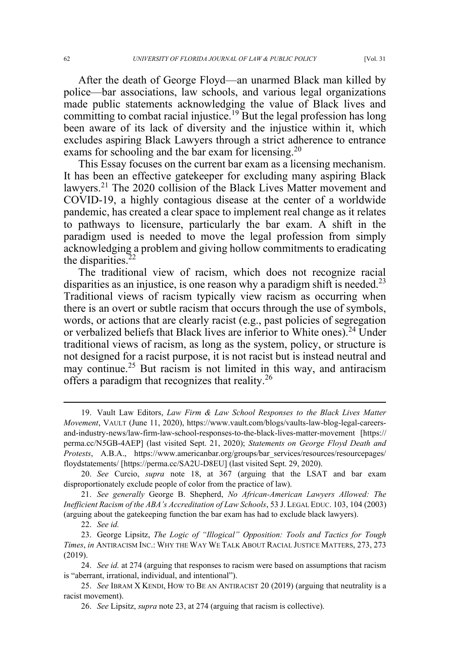After the death of George Floyd—an unarmed Black man killed by police—bar associations, law schools, and various legal organizations made public statements acknowledging the value of Black lives and committing to combat racial injustice.<sup>19</sup> But the legal profession has long been aware of its lack of diversity and the injustice within it, which excludes aspiring Black Lawyers through a strict adherence to entrance exams for schooling and the bar exam for licensing.<sup>20</sup>

This Essay focuses on the current bar exam as a licensing mechanism. It has been an effective gatekeeper for excluding many aspiring Black lawyers.<sup>21</sup> The 2020 collision of the Black Lives Matter movement and COVID-19, a highly contagious disease at the center of a worldwide pandemic, has created a clear space to implement real change as it relates to pathways to licensure, particularly the bar exam. A shift in the paradigm used is needed to move the legal profession from simply acknowledging a problem and giving hollow commitments to eradicating the disparities.<sup>22</sup>

The traditional view of racism, which does not recognize racial disparities as an injustice, is one reason why a paradigm shift is needed.<sup>23</sup> Traditional views of racism typically view racism as occurring when there is an overt or subtle racism that occurs through the use of symbols, words, or actions that are clearly racist (e.g., past policies of segregation or verbalized beliefs that Black lives are inferior to White ones).<sup>24</sup> Under traditional views of racism, as long as the system, policy, or structure is not designed for a racist purpose, it is not racist but is instead neutral and may continue.<sup>25</sup> But racism is not limited in this way, and antiracism offers a paradigm that recognizes that reality.<sup>26</sup>

21. *See generally* George B. Shepherd, *No African-American Lawyers Allowed: The Inefficient Racism of the ABA's Accreditation of Law Schools*, 53 J. LEGAL EDUC. 103, 104 (2003) (arguing about the gatekeeping function the bar exam has had to exclude black lawyers).

<sup>19.</sup> Vault Law Editors, *Law Firm & Law School Responses to the Black Lives Matter Movement*, VAULT (June 11, 2020), https://www.vault.com/blogs/vaults-law-blog-legal-careersand-industry-news/law-firm-law-school-responses-to-the-black-lives-matter-movement [https:// perma.cc/N5GB-4AEP] (last visited Sept. 21, 2020); *Statements on George Floyd Death and Protests*, A.B.A., https://www.americanbar.org/groups/bar\_services/resources/resourcepages/ floydstatements/ [https://perma.cc/SA2U-D8EU] (last visited Sept. 29, 2020).

<sup>20.</sup> *See* Curcio, *supra* note 18, at 367 (arguing that the LSAT and bar exam disproportionately exclude people of color from the practice of law).

<sup>22.</sup> *See id.*

<sup>23.</sup> George Lipsitz, *The Logic of "Illogical" Opposition: Tools and Tactics for Tough Times*, *in* ANTIRACISM INC.: WHY THE WAY WE TALK ABOUT RACIAL JUSTICE MATTERS, 273, 273 (2019).

<sup>24.</sup> *See id.* at 274 (arguing that responses to racism were based on assumptions that racism is "aberrant, irrational, individual, and intentional").

<sup>25.</sup> *See* IBRAM X KENDI, HOW TO BE AN ANTIRACIST 20 (2019) (arguing that neutrality is a racist movement).

<sup>26.</sup> *See* Lipsitz, *supra* note 23, at 274 (arguing that racism is collective).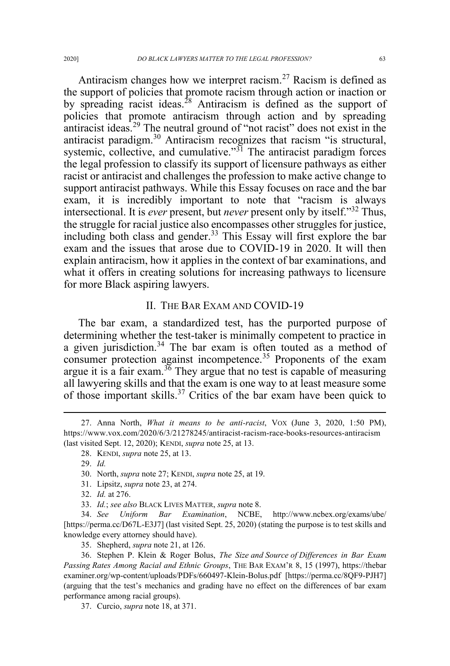Antiracism changes how we interpret racism.<sup>27</sup> Racism is defined as the support of policies that promote racism through action or inaction or by spreading racist ideas.<sup>28</sup> Antiracism is defined as the support of policies that promote antiracism through action and by spreading antiracist ideas.<sup>29</sup> The neutral ground of "not racist" does not exist in the antiracist paradigm.<sup>30</sup> Antiracism recognizes that racism "is structural, systemic, collective, and cumulative."<sup>31</sup> The antiracist paradigm forces the legal profession to classify its support of licensure pathways as either racist or antiracist and challenges the profession to make active change to support antiracist pathways. While this Essay focuses on race and the bar exam, it is incredibly important to note that "racism is always intersectional. It is *ever* present, but *never* present only by itself."<sup>32</sup> Thus, the struggle for racial justice also encompasses other struggles for justice, including both class and gender.<sup>33</sup> This Essay will first explore the bar exam and the issues that arose due to COVID-19 in 2020. It will then explain antiracism, how it applies in the context of bar examinations, and what it offers in creating solutions for increasing pathways to licensure for more Black aspiring lawyers.

#### II. THE BAR EXAM AND COVID-19

The bar exam, a standardized test, has the purported purpose of determining whether the test-taker is minimally competent to practice in a given jurisdiction.<sup>34</sup> The bar exam is often touted as a method of consumer protection against incompetence.<sup>35</sup> Proponents of the exam argue it is a fair exam.<sup>36</sup> They argue that no test is capable of measuring all lawyering skills and that the exam is one way to at least measure some of those important skills.<sup>37</sup> Critics of the bar exam have been quick to

31. Lipsitz, *supra* note 23, at 274.

<sup>27.</sup> Anna North, *What it means to be anti-racist*, VOX (June 3, 2020, 1:50 PM), https://www.vox.com/2020/6/3/21278245/antiracist-racism-race-books-resources-antiracism (last visited Sept. 12, 2020); KENDI, *supra* note 25, at 13.

<sup>28.</sup> KENDI, *supra* note 25, at 13.

<sup>29.</sup> *Id.*

<sup>30.</sup> North, *supra* note 27; KENDI, *supra* note 25, at 19.

<sup>32.</sup> *Id.* at 276.

<sup>33.</sup> *Id.*; *see also* BLACK LIVES MATTER, *supra* note 8.

<sup>34.</sup> *See Uniform Bar Examination*, NCBE, http://www.ncbex.org/exams/ube/ [https://perma.cc/D67L-E3J7] (last visited Sept. 25, 2020) (stating the purpose is to test skills and knowledge every attorney should have).

<sup>35.</sup> Shepherd, *supra* note 21, at 126.

<sup>36.</sup> Stephen P. Klein & Roger Bolus, *The Size and Source of Differences in Bar Exam Passing Rates Among Racial and Ethnic Groups*, THE BAR EXAM'R 8, 15 (1997), https://thebar examiner.org/wp-content/uploads/PDFs/660497-Klein-Bolus.pdf [https://perma.cc/8QF9-PJH7] (arguing that the test's mechanics and grading have no effect on the differences of bar exam performance among racial groups).

<sup>37.</sup> Curcio, *supra* note 18, at 371.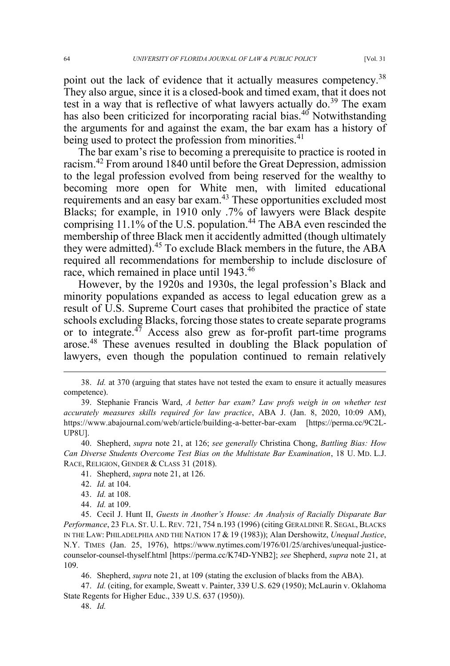point out the lack of evidence that it actually measures competency.<sup>38</sup> They also argue, since it is a closed-book and timed exam, that it does not test in a way that is reflective of what lawyers actually do. $39$  The exam has also been criticized for incorporating racial bias.<sup>40</sup> Notwithstanding the arguments for and against the exam, the bar exam has a history of being used to protect the profession from minorities.<sup>41</sup>

The bar exam's rise to becoming a prerequisite to practice is rooted in racism.<sup>42</sup> From around 1840 until before the Great Depression, admission to the legal profession evolved from being reserved for the wealthy to becoming more open for White men, with limited educational requirements and an easy bar exam.<sup>43</sup> These opportunities excluded most Blacks; for example, in 1910 only .7% of lawyers were Black despite comprising 11.1% of the U.S. population.<sup>44</sup> The ABA even rescinded the membership of three Black men it accidently admitted (though ultimately they were admitted).<sup>45</sup> To exclude Black members in the future, the ABA required all recommendations for membership to include disclosure of race, which remained in place until 1943.<sup>46</sup>

However, by the 1920s and 1930s, the legal profession's Black and minority populations expanded as access to legal education grew as a result of U.S. Supreme Court cases that prohibited the practice of state schools excluding Blacks, forcing those states to create separate programs or to integrate. $47$  Access also grew as for-profit part-time programs arose.<sup>48</sup> These avenues resulted in doubling the Black population of lawyers, even though the population continued to remain relatively

40. Shepherd, *supra* note 21, at 126; *see generally* Christina Chong, *Battling Bias: How Can Diverse Students Overcome Test Bias on the Multistate Bar Examination*, 18 U. MD. L.J. RACE, RELIGION, GENDER & CLASS 31 (2018).

- 43. *Id.* at 108.
- 44. *Id.* at 109.

45. Cecil J. Hunt II, *Guests in Another's House: An Analysis of Racially Disparate Bar Performance*, 23 FLA. ST. U. L. REV. 721, 754 n.193 (1996) (citing GERALDINE R. SEGAL, BLACKS IN THE LAW: PHILADELPHIA AND THE NATION 17 & 19 (1983)); Alan Dershowitz, *Unequal Justice*, N.Y. TIMES (Jan. 25, 1976), https://www.nytimes.com/1976/01/25/archives/unequal-justicecounselor-counsel-thyself.html [https://perma.cc/K74D-YNB2]; *see* Shepherd, *supra* note 21, at 109.

46. Shepherd, *supra* note 21, at 109 (stating the exclusion of blacks from the ABA).

47. *Id.* (citing, for example, Sweatt v. Painter, 339 U.S. 629 (1950); McLaurin v. Oklahoma State Regents for Higher Educ., 339 U.S. 637 (1950)).

<sup>38.</sup> *Id.* at 370 (arguing that states have not tested the exam to ensure it actually measures competence).

<sup>39.</sup> Stephanie Francis Ward, *A better bar exam? Law profs weigh in on whether test accurately measures skills required for law practice*, ABA J. (Jan. 8, 2020, 10:09 AM), https://www.abajournal.com/web/article/building-a-better-bar-exam [https://perma.cc/9C2L-UP8U].

<sup>41.</sup> Shepherd, *supra* note 21, at 126.

<sup>42.</sup> *Id.* at 104.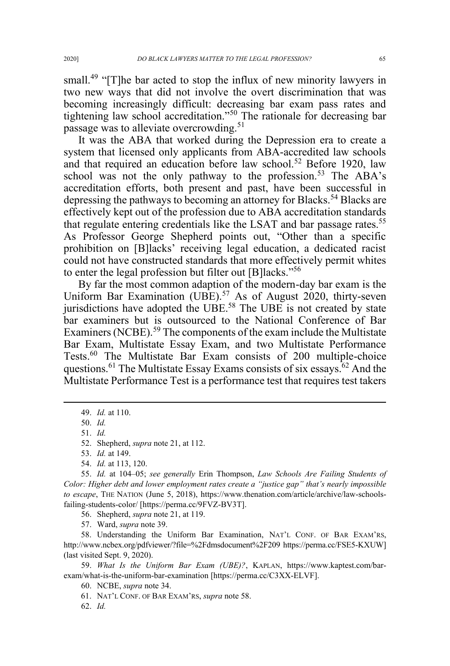small.<sup>49</sup> "[T]he bar acted to stop the influx of new minority lawyers in two new ways that did not involve the overt discrimination that was becoming increasingly difficult: decreasing bar exam pass rates and tightening law school accreditation."<sup>50</sup> The rationale for decreasing bar passage was to alleviate overcrowding.<sup>51</sup>

It was the ABA that worked during the Depression era to create a system that licensed only applicants from ABA-accredited law schools and that required an education before law school.<sup>52</sup> Before 1920, law school was not the only pathway to the profession.<sup>53</sup> The ABA's accreditation efforts, both present and past, have been successful in depressing the pathways to becoming an attorney for Blacks.<sup>54</sup> Blacks are effectively kept out of the profession due to ABA accreditation standards that regulate entering credentials like the LSAT and bar passage rates.<sup>55</sup> As Professor George Shepherd points out, "Other than a specific prohibition on [B]lacks' receiving legal education, a dedicated racist could not have constructed standards that more effectively permit whites to enter the legal profession but filter out [B]lacks."<sup>56</sup>

By far the most common adaption of the modern-day bar exam is the Uniform Bar Examination (UBE).<sup>57</sup> As of August 2020, thirty-seven jurisdictions have adopted the UBE.<sup>58</sup> The UBE is not created by state bar examiners but is outsourced to the National Conference of Bar Examiners (NCBE).<sup>59</sup> The components of the exam include the Multistate Bar Exam, Multistate Essay Exam, and two Multistate Performance Tests.<sup>60</sup> The Multistate Bar Exam consists of 200 multiple-choice questions.<sup>61</sup> The Multistate Essay Exams consists of six essays.<sup>62</sup> And the Multistate Performance Test is a performance test that requires test takers

52. Shepherd, *supra* note 21, at 112.

55. *Id.* at 104–05; *see generally* Erin Thompson, *Law Schools Are Failing Students of Color: Higher debt and lower employment rates create a "justice gap" that's nearly impossible to escape*, THE NATION (June 5, 2018), https://www.thenation.com/article/archive/law-schoolsfailing-students-color/ [https://perma.cc/9FVZ-BV3T].

56. Shepherd, *supra* note 21, at 119.

57. Ward, *supra* note 39.

58. Understanding the Uniform Bar Examination, NAT'L CONF. OF BAR EXAM'RS, http://www.ncbex.org/pdfviewer/?file=%2Fdmsdocument%2F209 https://perma.cc/FSE5-KXUW] (last visited Sept. 9, 2020).

59. *What Is the Uniform Bar Exam (UBE)?*, KAPLAN, https://www.kaptest.com/barexam/what-is-the-uniform-bar-examination [https://perma.cc/C3XX-ELVF].

60. NCBE, *supra* note 34.

61. NAT'L CONF. OF BAR EXAM'RS, *supra* note 58.

62. *Id.* 

<sup>49.</sup> *Id.* at 110.

<sup>50.</sup> *Id.*

<sup>51.</sup> *Id.* 

<sup>53.</sup> *Id.* at 149.

<sup>54.</sup> *Id.* at 113, 120.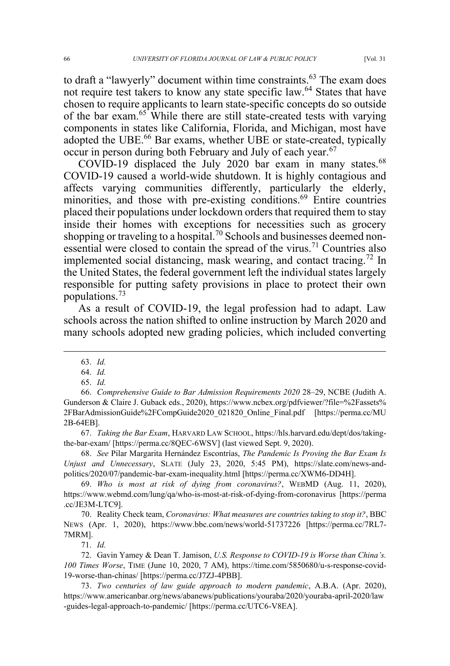not require test takers to know any state specific law.<sup>64</sup> States that have chosen to require applicants to learn state-specific concepts do so outside of the bar exam.<sup>65</sup> While there are still state-created tests with varying components in states like California, Florida, and Michigan, most have adopted the UBE.<sup>66</sup> Bar exams, whether UBE or state-created, typically occur in person during both February and July of each year.<sup>67</sup>

COVID-19 displaced the July 2020 bar exam in many states. $68$ COVID-19 caused a world-wide shutdown. It is highly contagious and affects varying communities differently, particularly the elderly, minorities, and those with pre-existing conditions.<sup>69</sup> Entire countries placed their populations under lockdown orders that required them to stay inside their homes with exceptions for necessities such as grocery shopping or traveling to a hospital.<sup>70</sup> Schools and businesses deemed nonessential were closed to contain the spread of the virus.<sup>71</sup> Countries also implemented social distancing, mask wearing, and contact tracing.<sup>72</sup> In the United States, the federal government left the individual states largely responsible for putting safety provisions in place to protect their own populations.<sup>73</sup>

As a result of COVID-19, the legal profession had to adapt. Law schools across the nation shifted to online instruction by March 2020 and many schools adopted new grading policies, which included converting

67. *Taking the Bar Exam*, HARVARD LAW SCHOOL, https://hls.harvard.edu/dept/dos/takingthe-bar-exam/ [https://perma.cc/8QEC-6WSV] (last viewed Sept. 9, 2020).

68. *See* Pilar Margarita Hernández Escontrías, *The Pandemic Is Proving the Bar Exam Is Unjust and Unnecessary*, SLATE (July 23, 2020, 5:45 PM), https://slate.com/news-andpolitics/2020/07/pandemic-bar-exam-inequality.html [https://perma.cc/XWM6-DD4H].

69. *Who is most at risk of dying from coronavirus?*, WEBMD (Aug. 11, 2020), https://www.webmd.com/lung/qa/who-is-most-at-risk-of-dying-from-coronavirus [https://perma .cc/JE3M-LTC9].

70. Reality Check team, *Coronavirus: What measures are countries taking to stop it?*, BBC NEWS (Apr. 1, 2020), https://www.bbc.com/news/world-51737226 [https://perma.cc/7RL7- 7MRM].

71. *Id.*

72. Gavin Yamey & Dean T. Jamison, *U.S. Response to COVID-19 is Worse than China's. 100 Times Worse*, TIME (June 10, 2020, 7 AM), https://time.com/5850680/u-s-response-covid-19-worse-than-chinas/ [https://perma.cc/J7ZJ-4PBB].

73. *Two centuries of law guide approach to modern pandemic*, A.B.A. (Apr. 2020), https://www.americanbar.org/news/abanews/publications/youraba/2020/youraba-april-2020/law -guides-legal-approach-to-pandemic/ [https://perma.cc/UTC6-V8EA].

<sup>63.</sup> *Id.* 

<sup>64.</sup> *Id.*

<sup>65.</sup> *Id.*

<sup>66.</sup> *Comprehensive Guide to Bar Admission Requirements 2020* 28–29, NCBE (Judith A. Gunderson & Claire J. Guback eds., 2020), https://www.ncbex.org/pdfviewer/?file=%2Fassets% 2FBarAdmissionGuide%2FCompGuide2020\_021820\_Online\_Final.pdf [https://perma.cc/MU 2B-64EB].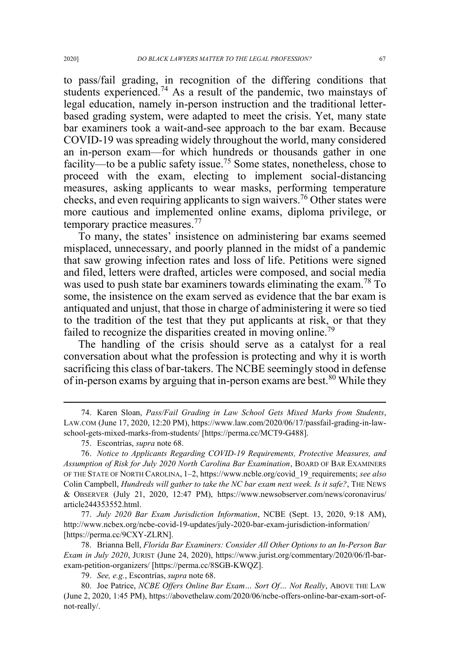to pass/fail grading, in recognition of the differing conditions that students experienced.<sup>74</sup> As a result of the pandemic, two mainstays of legal education, namely in-person instruction and the traditional letterbased grading system, were adapted to meet the crisis. Yet, many state bar examiners took a wait-and-see approach to the bar exam. Because COVID-19 was spreading widely throughout the world, many considered an in-person exam—for which hundreds or thousands gather in one facility—to be a public safety issue.<sup>75</sup> Some states, nonetheless, chose to proceed with the exam, electing to implement social-distancing measures, asking applicants to wear masks, performing temperature checks, and even requiring applicants to sign waivers.<sup>76</sup> Other states were more cautious and implemented online exams, diploma privilege, or temporary practice measures.<sup>77</sup>

To many, the states' insistence on administering bar exams seemed misplaced, unnecessary, and poorly planned in the midst of a pandemic that saw growing infection rates and loss of life. Petitions were signed and filed, letters were drafted, articles were composed, and social media was used to push state bar examiners towards eliminating the exam.<sup>78</sup> To some, the insistence on the exam served as evidence that the bar exam is antiquated and unjust, that those in charge of administering it were so tied to the tradition of the test that they put applicants at risk, or that they failed to recognize the disparities created in moving online.<sup>79</sup>

The handling of the crisis should serve as a catalyst for a real conversation about what the profession is protecting and why it is worth sacrificing this class of bar-takers. The NCBE seemingly stood in defense of in-person exams by arguing that in-person exams are best.<sup>80</sup> While they

77. *July 2020 Bar Exam Jurisdiction Information*, NCBE (Sept. 13, 2020, 9:18 AM), http://www.ncbex.org/ncbe-covid-19-updates/july-2020-bar-exam-jurisdiction-information/ [https://perma.cc/9CXY-ZLRN].

78. Brianna Bell, *Florida Bar Examiners: Consider All Other Options to an In-Person Bar Exam in July 2020*, JURIST (June 24, 2020), https://www.jurist.org/commentary/2020/06/fl-barexam-petition-organizers/ [https://perma.cc/8SGB-KWQZ].

79. *See, e.g.*, Escontrías, *supra* note 68.

<sup>74.</sup> Karen Sloan, *Pass/Fail Grading in Law School Gets Mixed Marks from Students*, LAW.COM (June 17, 2020, 12:20 PM), https://www.law.com/2020/06/17/passfail-grading-in-lawschool-gets-mixed-marks-from-students/ [https://perma.cc/MCT9-G488].

<sup>75.</sup> Escontrías, *supra* note 68.

<sup>76.</sup> *Notice to Applicants Regarding COVID-19 Requirements, Protective Measures, and Assumption of Risk for July 2020 North Carolina Bar Examination*, BOARD OF BAR EXAMINERS OF THE STATE OF NORTH CAROLINA, 1–2, https://www.ncble.org/covid\_19\_requirements; *see also*  Colin Campbell, *Hundreds will gather to take the NC bar exam next week. Is it safe?*, THE NEWS & OBSERVER (July 21, 2020, 12:47 PM), https://www.newsobserver.com/news/coronavirus/ article244353552.html.

<sup>80.</sup> Joe Patrice, *NCBE Offers Online Bar Exam… Sort Of… Not Really*, ABOVE THE LAW (June 2, 2020, 1:45 PM), https://abovethelaw.com/2020/06/ncbe-offers-online-bar-exam-sort-ofnot-really/.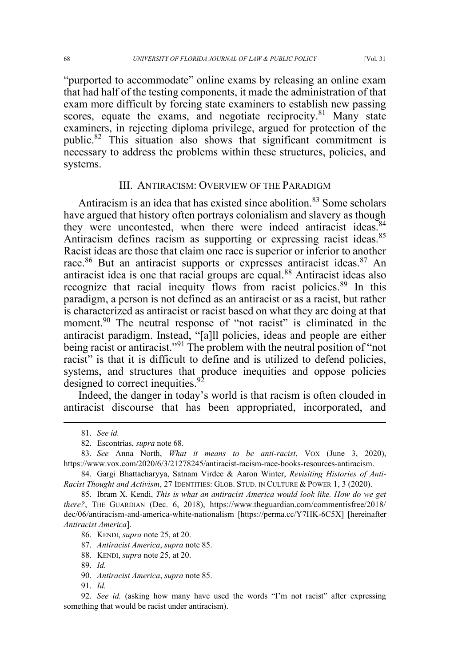"purported to accommodate" online exams by releasing an online exam that had half of the testing components, it made the administration of that exam more difficult by forcing state examiners to establish new passing scores, equate the exams, and negotiate reciprocity.<sup>81</sup> Many state examiners, in rejecting diploma privilege, argued for protection of the public.<sup>82</sup> This situation also shows that significant commitment is necessary to address the problems within these structures, policies, and systems.

#### III. ANTIRACISM: OVERVIEW OF THE PARADIGM

Antiracism is an idea that has existed since abolition.<sup>83</sup> Some scholars have argued that history often portrays colonialism and slavery as though they were uncontested, when there were indeed antiracist ideas.<sup>84</sup> Antiracism defines racism as supporting or expressing racist ideas.<sup>85</sup> Racist ideas are those that claim one race is superior or inferior to another race.<sup>86</sup> But an antiracist supports or expresses antiracist ideas.<sup>87</sup> An antiracist idea is one that racial groups are equal.<sup>88</sup> Antiracist ideas also recognize that racial inequity flows from racist policies.<sup>89</sup> In this paradigm, a person is not defined as an antiracist or as a racist, but rather is characterized as antiracist or racist based on what they are doing at that moment.<sup>90</sup> The neutral response of "not racist" is eliminated in the antiracist paradigm. Instead, "[a]ll policies, ideas and people are either being racist or antiracist."<sup>91</sup> The problem with the neutral position of "not racist" is that it is difficult to define and is utilized to defend policies, systems, and structures that produce inequities and oppose policies designed to correct inequities.<sup>92</sup>

Indeed, the danger in today's world is that racism is often clouded in antiracist discourse that has been appropriated, incorporated, and

- 87. *Antiracist America*, *supra* note 85.
- 88. KENDI, *supra* note 25, at 20.

90. *Antiracist America*, *supra* note 85.

91. *Id.*

<sup>81.</sup> *See id.*

<sup>82.</sup> Escontrías, *supra* note 68.

<sup>83.</sup> *See* Anna North, *What it means to be anti-racist*, VOX (June 3, 2020), https://www.vox.com/2020/6/3/21278245/antiracist-racism-race-books-resources-antiracism.

<sup>84.</sup> Gargi Bhattacharyya, Satnam Virdee & Aaron Winter, *Revisiting Histories of Anti-Racist Thought and Activism*, 27 IDENTITIES: GLOB. STUD. IN CULTURE & POWER 1, 3 (2020).

<sup>85.</sup> Ibram X. Kendi, *This is what an antiracist America would look like. How do we get there?*, THE GUARDIAN (Dec. 6, 2018), https://www.theguardian.com/commentisfree/2018/ dec/06/antiracism-and-america-white-nationalism [https://perma.cc/Y7HK-6C5X] [hereinafter *Antiracist America*].

<sup>86.</sup> KENDI, *supra* note 25, at 20.

<sup>89.</sup> *Id.*

<sup>92.</sup> *See id.* (asking how many have used the words "I'm not racist" after expressing something that would be racist under antiracism).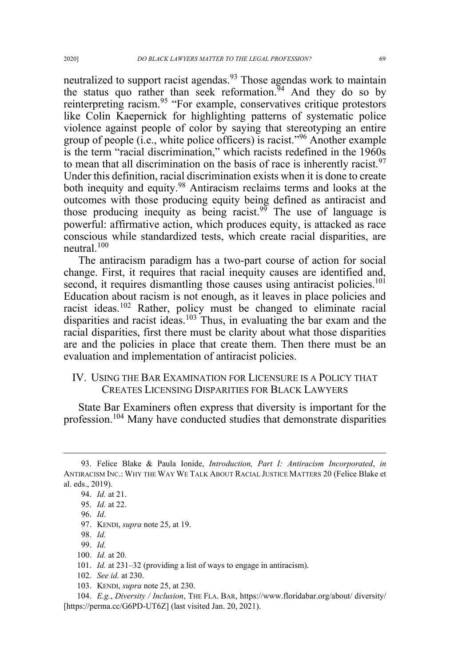neutralized to support racist agendas.<sup>93</sup> Those agendas work to maintain the status quo rather than seek reformation.<sup>94</sup> And they do so by reinterpreting racism.<sup>95</sup> "For example, conservatives critique protestors" like Colin Kaepernick for highlighting patterns of systematic police violence against people of color by saying that stereotyping an entire group of people (i.e., white police officers) is racist."<sup>96</sup> Another example is the term "racial discrimination," which racists redefined in the 1960s to mean that all discrimination on the basis of race is inherently racist.<sup>97</sup> Under this definition, racial discrimination exists when it is done to create both inequity and equity.<sup>98</sup> Antiracism reclaims terms and looks at the outcomes with those producing equity being defined as antiracist and those producing inequity as being racist.<sup>99</sup> The use of language is powerful: affirmative action, which produces equity, is attacked as race conscious while standardized tests, which create racial disparities, are neutral. $100$ 

The antiracism paradigm has a two-part course of action for social change. First, it requires that racial inequity causes are identified and, second, it requires dismantling those causes using antiracist policies.<sup>101</sup> Education about racism is not enough, as it leaves in place policies and racist ideas.<sup>102</sup> Rather, policy must be changed to eliminate racial disparities and racist ideas.<sup>103</sup> Thus, in evaluating the bar exam and the racial disparities, first there must be clarity about what those disparities are and the policies in place that create them. Then there must be an evaluation and implementation of antiracist policies.

### IV. USING THE BAR EXAMINATION FOR LICENSURE IS A POLICY THAT CREATES LICENSING DISPARITIES FOR BLACK LAWYERS

State Bar Examiners often express that diversity is important for the profession.<sup>104</sup> Many have conducted studies that demonstrate disparities

100. *Id.* at 20.

- 102. *See id.* at 230.
- 103. KENDI, *supra* note 25, at 230.

<sup>93.</sup> Felice Blake & Paula Ionide, *Introduction, Part I: Antiracism Incorporated*, *in* ANTIRACISM INC.: WHY THE WAY WE TALK ABOUT RACIAL JUSTICE MATTERS 20 (Felice Blake et al. eds., 2019).

<sup>94.</sup> *Id.* at 21.

<sup>95.</sup> *Id.* at 22.

<sup>96.</sup> *Id.*

<sup>97.</sup> KENDI, *supra* note 25, at 19.

<sup>98.</sup> *Id.*

<sup>99.</sup> *Id.*

<sup>101.</sup> *Id.* at 231–32 (providing a list of ways to engage in antiracism).

<sup>104.</sup> *E.g.*, *Diversity / Inclusion*, THE FLA. BAR, https://www.floridabar.org/about/ diversity/ [https://perma.cc/G6PD-UT6Z] (last visited Jan. 20, 2021).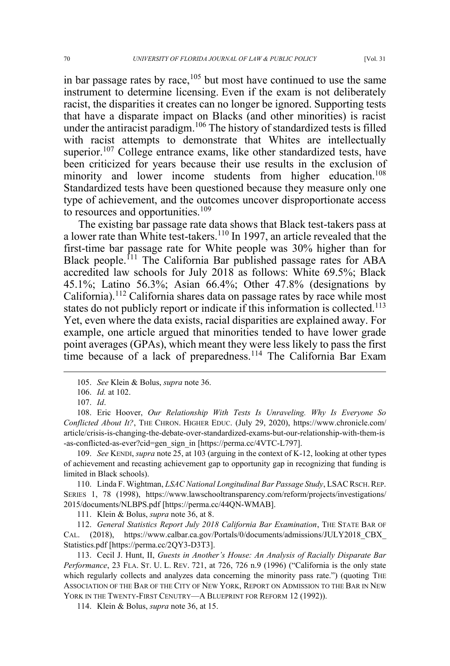in bar passage rates by race, $105$  but most have continued to use the same instrument to determine licensing. Even if the exam is not deliberately racist, the disparities it creates can no longer be ignored. Supporting tests that have a disparate impact on Blacks (and other minorities) is racist under the antiracist paradigm.<sup>106</sup> The history of standardized tests is filled with racist attempts to demonstrate that Whites are intellectually superior.<sup>107</sup> College entrance exams, like other standardized tests, have been criticized for years because their use results in the exclusion of minority and lower income students from higher education.<sup>108</sup> Standardized tests have been questioned because they measure only one type of achievement, and the outcomes uncover disproportionate access to resources and opportunities.<sup>109</sup>

The existing bar passage rate data shows that Black test-takers pass at a lower rate than White test-takers.<sup>110</sup> In 1997, an article revealed that the first-time bar passage rate for White people was 30% higher than for Black people.<sup>111</sup> The California Bar published passage rates for ABA accredited law schools for July 2018 as follows: White 69.5%; Black 45.1%; Latino 56.3%; Asian 66.4%; Other 47.8% (designations by California).<sup>112</sup> California shares data on passage rates by race while most states do not publicly report or indicate if this information is collected.<sup>113</sup> Yet, even where the data exists, racial disparities are explained away. For example, one article argued that minorities tended to have lower grade point averages (GPAs), which meant they were less likely to pass the first time because of a lack of preparedness.<sup>114</sup> The California Bar Exam

<sup>105.</sup> *See* Klein & Bolus, *supra* note 36.

<sup>106.</sup> *Id.* at 102.

<sup>107.</sup> *Id*.

<sup>108.</sup> Eric Hoover, *Our Relationship With Tests Is Unraveling. Why Is Everyone So Conflicted About It?*, THE CHRON. HIGHER EDUC. (July 29, 2020), https://www.chronicle.com/ article/crisis-is-changing-the-debate-over-standardized-exams-but-our-relationship-with-them-is -as-conflicted-as-ever?cid=gen\_sign\_in [https://perma.cc/4VTC-L797].

<sup>109.</sup> *See* KENDI, *supra* note 25, at 103 (arguing in the context of K-12, looking at other types of achievement and recasting achievement gap to opportunity gap in recognizing that funding is limited in Black schools).

<sup>110.</sup> Linda F. Wightman, *LSAC National Longitudinal Bar Passage Study*, LSACRSCH.REP. SERIES 1, 78 (1998), https://www.lawschooltransparency.com/reform/projects/investigations/ 2015/documents/NLBPS.pdf [https://perma.cc/44QN-WMAB].

<sup>111.</sup> Klein & Bolus, *supra* note 36, at 8.

<sup>112.</sup> *General Statistics Report July 2018 California Bar Examination*, THE STATE BAR OF CAL. (2018), https://www.calbar.ca.gov/Portals/0/documents/admissions/JULY2018\_CBX\_ Statistics.pdf [https://perma.cc/2QY3-D3T3].

<sup>113.</sup> Cecil J. Hunt, II, *Guests in Another's House: An Analysis of Racially Disparate Bar Performance*, 23 FLA. ST. U. L. REV. 721, at 726, 726 n.9 (1996) ("California is the only state which regularly collects and analyzes data concerning the minority pass rate.") (quoting THE ASSOCIATION OF THE BAR OF THE CITY OF NEW YORK, REPORT ON ADMISSION TO THE BAR IN NEW YORK IN THE TWENTY-FIRST CENUTRY—A BLUEPRINT FOR REFORM 12 (1992)).

<sup>114.</sup> Klein & Bolus, *supra* note 36, at 15.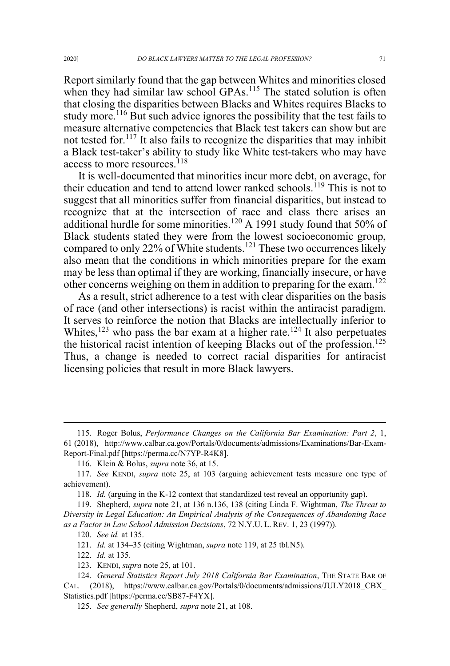Report similarly found that the gap between Whites and minorities closed when they had similar law school GPAs.<sup>115</sup> The stated solution is often that closing the disparities between Blacks and Whites requires Blacks to study more.<sup>116</sup> But such advice ignores the possibility that the test fails to measure alternative competencies that Black test takers can show but are not tested for.<sup>117</sup> It also fails to recognize the disparities that may inhibit a Black test-taker's ability to study like White test-takers who may have access to more resources.<sup>118</sup>

It is well-documented that minorities incur more debt, on average, for their education and tend to attend lower ranked schools.<sup>119</sup> This is not to suggest that all minorities suffer from financial disparities, but instead to recognize that at the intersection of race and class there arises an additional hurdle for some minorities.<sup>120</sup> A 1991 study found that 50% of Black students stated they were from the lowest socioeconomic group, compared to only 22% of White students.<sup>121</sup> These two occurrences likely also mean that the conditions in which minorities prepare for the exam may be less than optimal if they are working, financially insecure, or have other concerns weighing on them in addition to preparing for the exam.<sup>122</sup>

As a result, strict adherence to a test with clear disparities on the basis of race (and other intersections) is racist within the antiracist paradigm. It serves to reinforce the notion that Blacks are intellectually inferior to Whites,<sup>123</sup> who pass the bar exam at a higher rate.<sup>124</sup> It also perpetuates the historical racist intention of keeping Blacks out of the profession.<sup>125</sup> Thus, a change is needed to correct racial disparities for antiracist licensing policies that result in more Black lawyers.

<sup>115.</sup> Roger Bolus, *Performance Changes on the California Bar Examination: Part 2*, 1, 61 (2018), http://www.calbar.ca.gov/Portals/0/documents/admissions/Examinations/Bar-Exam-Report-Final.pdf [https://perma.cc/N7YP-R4K8].

<sup>116.</sup> Klein & Bolus, *supra* note 36, at 15.

<sup>117.</sup> *See* KENDI, *supra* note 25, at 103 (arguing achievement tests measure one type of achievement).

<sup>118.</sup> *Id.* (arguing in the K-12 context that standardized test reveal an opportunity gap).

<sup>119.</sup> Shepherd, *supra* note 21, at 136 n.136, 138 (citing Linda F. Wightman, *The Threat to Diversity in Legal Education: An Empirical Analysis of the Consequences of Abandoning Race as a Factor in Law School Admission Decisions*, 72 N.Y.U. L. REV. 1, 23 (1997)).

<sup>120.</sup> *See id.* at 135.

<sup>121.</sup> *Id.* at 134–35 (citing Wightman, *supra* note 119, at 25 tbl.N5).

<sup>122.</sup> *Id.* at 135.

<sup>123.</sup> KENDI, *supra* note 25, at 101.

<sup>124.</sup> *General Statistics Report July 2018 California Bar Examination*, THE STATE BAR OF CAL. (2018), https://www.calbar.ca.gov/Portals/0/documents/admissions/JULY2018\_CBX\_ Statistics.pdf [https://perma.cc/SB87-F4YX].

<sup>125.</sup> *See generally* Shepherd, *supra* note 21, at 108.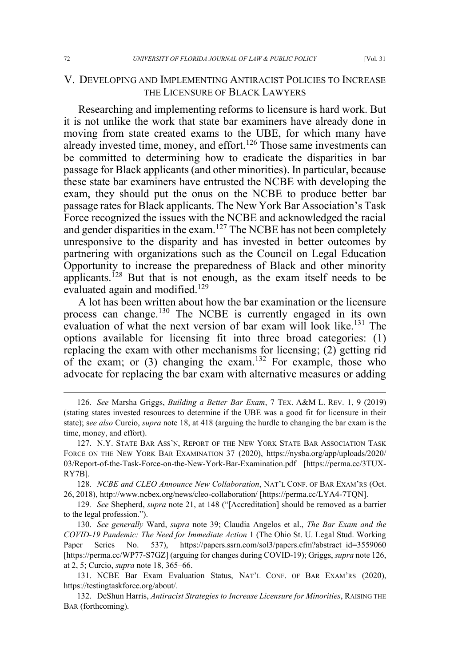# V. DEVELOPING AND IMPLEMENTING ANTIRACIST POLICIES TO INCREASE THE LICENSURE OF BLACK LAWYERS

Researching and implementing reforms to licensure is hard work. But it is not unlike the work that state bar examiners have already done in moving from state created exams to the UBE, for which many have already invested time, money, and effort.<sup>126</sup> Those same investments can be committed to determining how to eradicate the disparities in bar passage for Black applicants (and other minorities). In particular, because these state bar examiners have entrusted the NCBE with developing the exam, they should put the onus on the NCBE to produce better bar passage rates for Black applicants. The New York Bar Association's Task Force recognized the issues with the NCBE and acknowledged the racial and gender disparities in the exam.<sup>127</sup> The NCBE has not been completely unresponsive to the disparity and has invested in better outcomes by partnering with organizations such as the Council on Legal Education Opportunity to increase the preparedness of Black and other minority applicants.<sup>128</sup> But that is not enough, as the exam itself needs to be evaluated again and modified.<sup>129</sup>

A lot has been written about how the bar examination or the licensure process can change.<sup>130</sup> The NCBE is currently engaged in its own evaluation of what the next version of bar exam will look like.<sup>131</sup> The options available for licensing fit into three broad categories: (1) replacing the exam with other mechanisms for licensing; (2) getting rid of the exam; or  $(3)$  changing the exam.<sup>132</sup> For example, those who advocate for replacing the bar exam with alternative measures or adding

<sup>126.</sup> *See* Marsha Griggs, *Building a Better Bar Exam*, 7 TEX. A&M L. REV. 1, 9 (2019) (stating states invested resources to determine if the UBE was a good fit for licensure in their state); s*ee also* Curcio, *supra* note 18, at 418 (arguing the hurdle to changing the bar exam is the time, money, and effort).

<sup>127.</sup> N.Y. STATE BAR ASS'N, REPORT OF THE NEW YORK STATE BAR ASSOCIATION TASK FORCE ON THE NEW YORK BAR EXAMINATION 37 (2020), https://nysba.org/app/uploads/2020/ 03/Report-of-the-Task-Force-on-the-New-York-Bar-Examination.pdf [https://perma.cc/3TUX-RY7B].

<sup>128.</sup> *NCBE and CLEO Announce New Collaboration*, NAT'L CONF. OF BAR EXAM'RS (Oct. 26, 2018), http://www.ncbex.org/news/cleo-collaboration/ [https://perma.cc/LYA4-7TQN].

<sup>129</sup>*. See* Shepherd, *supra* note 21, at 148 ("[Accreditation] should be removed as a barrier to the legal profession.").

<sup>130.</sup> *See generally* Ward, *supra* note 39; Claudia Angelos et al., *The Bar Exam and the COVID-19 Pandemic: The Need for Immediate Action* 1 (The Ohio St. U. Legal Stud. Working Paper Series No. 537), https://papers.ssrn.com/sol3/papers.cfm?abstract\_id=3559060 [https://perma.cc/WP77-S7GZ] (arguing for changes during COVID-19); Griggs, *supra* note 126, at 2, 5; Curcio, *supra* note 18, 365–66.

<sup>131.</sup> NCBE Bar Exam Evaluation Status, NAT'L CONF. OF BAR EXAM'RS (2020), https://testingtaskforce.org/about/.

<sup>132.</sup> DeShun Harris, *Antiracist Strategies to Increase Licensure for Minorities*, RAISING THE BAR (forthcoming).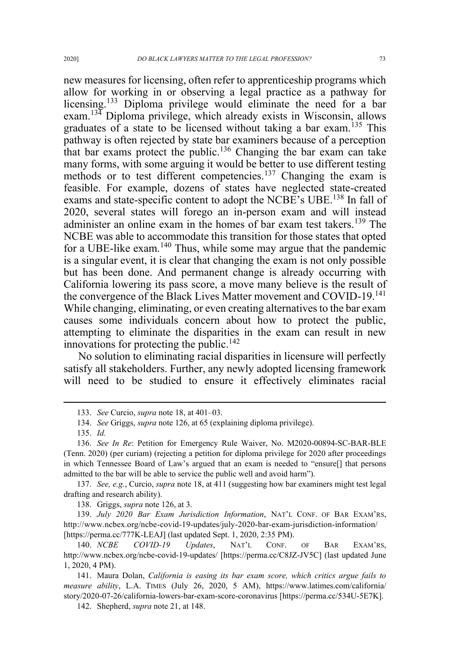new measures for licensing, often refer to apprenticeship programs which allow for working in or observing a legal practice as a pathway for licensing.<sup>133</sup> Diploma privilege would eliminate the need for a bar exam.<sup>134</sup> Diploma privilege, which already exists in Wisconsin, allows graduates of a state to be licensed without taking a bar exam.<sup>135</sup> This pathway is often rejected by state bar examiners because of a perception that bar exams protect the public.<sup>136</sup> Changing the bar exam can take many forms, with some arguing it would be better to use different testing methods or to test different competencies.<sup>137</sup> Changing the exam is feasible. For example, dozens of states have neglected state-created exams and state-specific content to adopt the NCBE's UBE.<sup>138</sup> In fall of 2020, several states will forego an in-person exam and will instead administer an online exam in the homes of bar exam test takers.<sup>139</sup> The NCBE was able to accommodate this transition for those states that opted for a UBE-like exam.<sup>140</sup> Thus, while some may argue that the pandemic is a singular event, it is clear that changing the exam is not only possible but has been done. And permanent change is already occurring with California lowering its pass score, a move many believe is the result of the convergence of the Black Lives Matter movement and COVID-19.<sup>141</sup> While changing, eliminating, or even creating alternatives to the bar exam causes some individuals concern about how to protect the public, attempting to eliminate the disparities in the exam can result in new innovations for protecting the public.<sup>142</sup>

No solution to eliminating racial disparities in licensure will perfectly satisfy all stakeholders. Further, any newly adopted licensing framework will need to be studied to ensure it effectively eliminates racial

137. *See, e.g.*, Curcio, *supra* note 18, at 411 (suggesting how bar examiners might test legal drafting and research ability).

138. Griggs, *supra* note 126, at 3.

139. *July 2020 Bar Exam Jurisdiction Information*, NAT'L CONF. OF BAR EXAM'RS, http://www.ncbex.org/ncbe-covid-19-updates/july-2020-bar-exam-jurisdiction-information/ [https://perma.cc/777K-LEAJ] (last updated Sept. 1, 2020, 2:35 PM).

140. *NCBE COVID-19 Updates*, NAT'L CONF. OF BAR EXAM'RS, http://www.ncbex.org/ncbe-covid-19-updates/ [https://perma.cc/C8JZ-JV5C] (last updated June 1, 2020, 4 PM).

141. Maura Dolan, *California is easing its bar exam score, which critics argue fails to measure ability*, L.A. TIMES (July 26, 2020, 5 AM), https://www.latimes.com/california/ story/2020-07-26/california-lowers-bar-exam-score-coronavirus [https://perma.cc/534U-5E7K].

142. Shepherd, *supra* note 21, at 148.

<sup>133.</sup> *See* Curcio, *supra* note 18, at 401–03.

<sup>134.</sup> *See* Griggs, *supra* note 126, at 65 (explaining diploma privilege).

<sup>135.</sup> *Id.*

<sup>136.</sup> *See In Re*: Petition for Emergency Rule Waiver, No. M2020-00894-SC-BAR-BLE (Tenn. 2020) (per curiam) (rejecting a petition for diploma privilege for 2020 after proceedings in which Tennessee Board of Law's argued that an exam is needed to "ensure[] that persons admitted to the bar will be able to service the public well and avoid harm").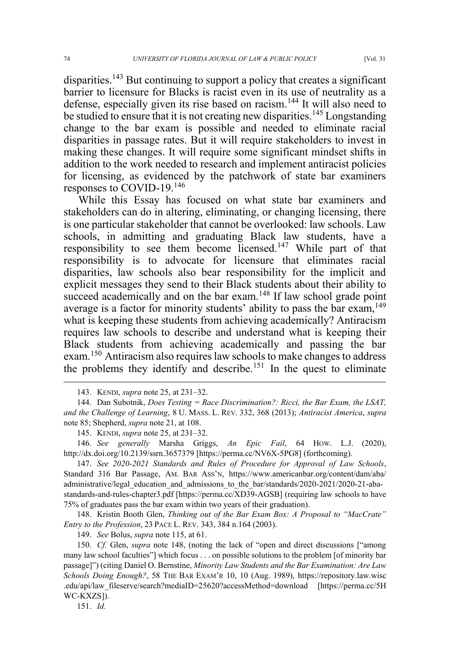disparities.<sup>143</sup> But continuing to support a policy that creates a significant barrier to licensure for Blacks is racist even in its use of neutrality as a defense, especially given its rise based on racism.<sup>144</sup> It will also need to be studied to ensure that it is not creating new disparities.<sup>145</sup> Longstanding change to the bar exam is possible and needed to eliminate racial disparities in passage rates. But it will require stakeholders to invest in making these changes. It will require some significant mindset shifts in addition to the work needed to research and implement antiracist policies for licensing, as evidenced by the patchwork of state bar examiners responses to COVID-19.<sup>146</sup>

While this Essay has focused on what state bar examiners and stakeholders can do in altering, eliminating, or changing licensing, there is one particular stakeholder that cannot be overlooked: law schools. Law schools, in admitting and graduating Black law students, have a responsibility to see them become licensed.<sup>147</sup> While part of that responsibility is to advocate for licensure that eliminates racial disparities, law schools also bear responsibility for the implicit and explicit messages they send to their Black students about their ability to succeed academically and on the bar exam.<sup>148</sup> If law school grade point average is a factor for minority students' ability to pass the bar exam, <sup>149</sup> what is keeping these students from achieving academically? Antiracism requires law schools to describe and understand what is keeping their Black students from achieving academically and passing the bar exam.<sup>150</sup> Antiracism also requires law schools to make changes to address the problems they identify and describe.<sup>151</sup> In the quest to eliminate

146. *See generally* Marsha Griggs, *An Epic Fail*, 64 HOW. L.J. (2020), http://dx.doi.org/10.2139/ssrn.3657379 [https://perma.cc/NV6X-5PG8] (forthcoming).

147. *See 2020-2021 Standards and Rules of Procedure for Approval of Law Schools*, Standard 316 Bar Passage, AM. BAR ASS'N, https://www.americanbar.org/content/dam/aba/ administrative/legal\_education\_and\_admissions\_to\_the\_bar/standards/2020-2021/2020-21-abastandards-and-rules-chapter3.pdf [https://perma.cc/XD39-AGSB] (requiring law schools to have 75% of graduates pass the bar exam within two years of their graduation).

148. Kristin Booth Glen, *Thinking out of the Bar Exam Box: A Proposal to "MacCrate" Entry to the Profession*, 23 PACE L. REV. 343, 384 n.164 (2003).

149. *See* Bolus, *supra* note 115, at 61.

150. *Cf.* Glen, *supra* note 148, (noting the lack of "open and direct discussions ["among many law school faculties"] which focus . . . on possible solutions to the problem [of minority bar passage]") (citing Daniel O. Bernstine, *Minority Law Students and the Bar Examination: Are Law Schools Doing Enough?*, 58 THE BAR EXAM'R 10, 10 (Aug. 1989), https://repository.law.wisc .edu/api/law\_fileserve/search?mediaID=25620?accessMethod=download [https://perma.cc/5H WC-KXZS]).

151. *Id.*

<sup>143.</sup> KENDI, *supra* note 25, at 231–32.

<sup>144.</sup> Dan Subotnik, *Does Testing = Race Discrimination?: Ricci, the Bar Exam, the LSAT, and the Challenge of Learning*, 8 U. MASS. L. REV. 332, 368 (2013); *Antiracist America*, *supra* note 85; Shepherd, *supra* note 21, at 108.

<sup>145.</sup> KENDI, *supra* note 25, at 231–32.